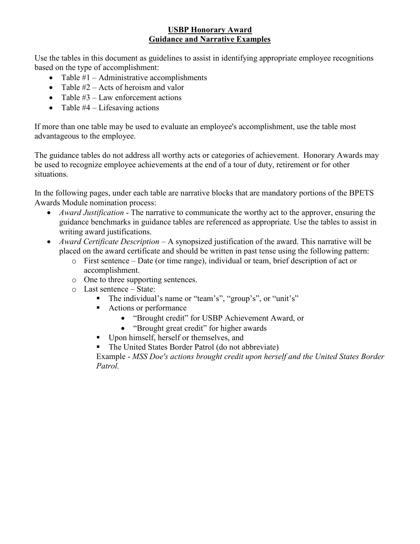Use the tables in this document as guidelines to assist in identifying appropriate employee recognitions based on the type of accomplishment:

- Table  $#1 -$  Administrative accomplishments
- Table  $#2 -$  Acts of heroism and valor
- Table  $#3$  Law enforcement actions
- Table  $#4$  Lifesaving actions

If more than one table may be used to evaluate an employee's accomplishment, use the table most advantageous to the employee.

The guidance tables do not address all worthy acts or categories of achievement. Honorary Awards may be used to recognize employee achievements at the end of a tour of duty, retirement or for other situations.

In the following pages, under each table are narrative blocks that are mandatory portions of the BPETS Awards Module nomination process:

- *Award Justification* The narrative to communicate the worthy act to the approver, ensuring the guidance benchmarks in guidance tables are referenced as appropriate. Use the tables to assist in writing award justifications.
- *Award Certificate Description* A synopsized justification of the award. This narrative will be placed on the award certificate and should be written in past tense using the following pattern:
	- $\circ$  First sentence Date (or time range), individual or team, brief description of act or accomplishment.
	- o One to three supporting sentences.
	- $\circ$  Last sentence State:
		- The individual's name or "team's", "group's", or "unit's"
		- Actions or performance
			- "Brought credit" for USBP Achievement Award, or
			- "Brought great credit" for higher awards
		- Upon himself, herself or themselves, and
		- The United States Border Patrol (do not abbreviate)

Example - *MSS Doe's actions brought credit upon herself and the United States Border Patrol.*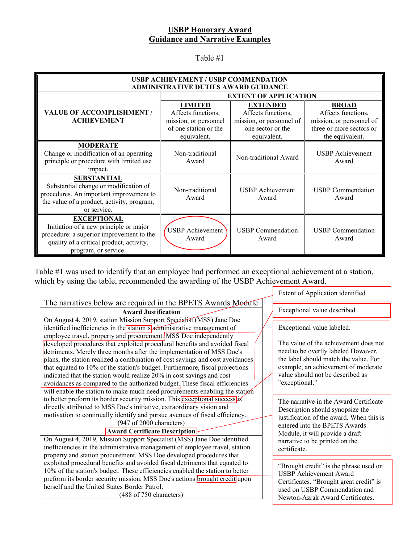Table #1

| USBP ACHIEVEMENT / USBP COMMENDATION<br><b>ADMINISTRATIVE DUTIES AWARD GUIDANCE</b>                                                                                          |                                                                                                       |                                                                                                       |                                                                                                               |  |
|------------------------------------------------------------------------------------------------------------------------------------------------------------------------------|-------------------------------------------------------------------------------------------------------|-------------------------------------------------------------------------------------------------------|---------------------------------------------------------------------------------------------------------------|--|
|                                                                                                                                                                              | <b>EXTENT OF APPLICATION</b>                                                                          |                                                                                                       |                                                                                                               |  |
| <b>VALUE OF ACCOMPLISHMENT /</b><br><b>ACHIEVEMENT</b>                                                                                                                       | <b>LIMITED</b><br>Affects functions,<br>mission, or personnel<br>of one station or the<br>equivalent. | <b>EXTENDED</b><br>Affects functions,<br>mission, or personnel of<br>one sector or the<br>equivalent. | <b>BROAD</b><br>Affects functions,<br>mission, or personnel of<br>three or more sectors or<br>the equivalent. |  |
| <b>MODERATE</b><br>Change or modification of an operating<br>principle or procedure with limited use<br>impact.                                                              | Non-traditional<br>Award                                                                              | Non-traditional Award                                                                                 | <b>USBP</b> Achievement<br>Award                                                                              |  |
| <b>SUBSTANTIAL</b><br>Substantial change or modification of<br>procedures. An important improvement to<br>the value of a product, activity, program,<br>or service.          | Non-traditional<br>Award                                                                              | <b>USBP</b> Achievement<br>Award                                                                      | <b>USBP</b> Commendation<br>Award                                                                             |  |
| <b>EXCEPTIONAL</b><br>Initiation of a new principle or major<br>procedure: a superior improvement to the<br>quality of a critical product, activity,<br>program, or service. | <b>USBP</b> Achievement<br>Award                                                                      | <b>USBP</b> Commendation<br>Award                                                                     | <b>USBP</b> Commendation<br>Award                                                                             |  |

Table #1 was used to identify that an employee had performed an exceptional achievement at a station, which by using the table, recommended the awarding of the USBP Achievement Award.

|                                                                                                                                                                                                                                                                                                                                                                                                                                                                                                                                                                                                                                                                                                                                                                                   |  | Extent of Application identified                                                                                                                                                                                                                 |  |
|-----------------------------------------------------------------------------------------------------------------------------------------------------------------------------------------------------------------------------------------------------------------------------------------------------------------------------------------------------------------------------------------------------------------------------------------------------------------------------------------------------------------------------------------------------------------------------------------------------------------------------------------------------------------------------------------------------------------------------------------------------------------------------------|--|--------------------------------------------------------------------------------------------------------------------------------------------------------------------------------------------------------------------------------------------------|--|
| The narratives below are required in the BPETS Awards Module                                                                                                                                                                                                                                                                                                                                                                                                                                                                                                                                                                                                                                                                                                                      |  |                                                                                                                                                                                                                                                  |  |
| <b>Award Justification</b>                                                                                                                                                                                                                                                                                                                                                                                                                                                                                                                                                                                                                                                                                                                                                        |  | Exceptional value described                                                                                                                                                                                                                      |  |
| On August 4, 2019, station Mission Support Specialist (MSS) Jane Doe<br>identified inefficiencies in the station's administrative management of<br>employee travel, property and procurement. MSS Doe independently<br>developed procedures that exploited procedural benefits and avoided fiscal<br>detriments. Merely three months after the implementation of MSS Doe's<br>plans, the station realized a combination of cost savings and cost avoidances<br>that equated to 10% of the station's budget. Furthermore, fiscal projections<br>indicated that the station would realize 20% in cost savings and cost<br>avoidances as compared to the authorized budget. These fiscal efficiencies<br>will enable the station to make much need procurements enabling the station |  | Exceptional value labeled.<br>The value of the achievement does not<br>need to be overtly labeled However,<br>the label should match the value. For<br>example, an achievement of moderate<br>value should not be described as<br>"exceptional." |  |
| to better preform its border security mission. This exceptional success is<br>directly attributed to MSS Doe's initiative, extraordinary vision and<br>motivation to continually identify and pursue avenues of fiscal efficiency.<br>(947 of 2000 characters)<br><b>Award Certificate Description</b><br>On August 4, 2019, Mission Support Specialist (MSS) Jane Doe identified<br>inefficiencies in the administrative management of employee travel, station<br>property and station procurement. MSS Doe developed procedures that                                                                                                                                                                                                                                           |  | The narrative in the Award Certificate<br>Description should synopsize the<br>justification of the award. When this is<br>entered into the BPETS Awards<br>Module, it will provide a draft<br>narrative to be printed on the<br>certificate.     |  |
| exploited procedural benefits and avoided fiscal detriments that equated to<br>10% of the station's budget. These efficiencies enabled the station to better<br>preform its border security mission. MSS Doe's actions brought credit upon<br>herself and the United States Border Patrol.<br>(488 of 750 characters)                                                                                                                                                                                                                                                                                                                                                                                                                                                             |  | "Brought credit" is the phrase used on<br><b>USBP</b> Achievement Award<br>Certificates. "Brought great credit" is<br>used on USBP Commendation and<br>Newton-Azrak Award Certificates.                                                          |  |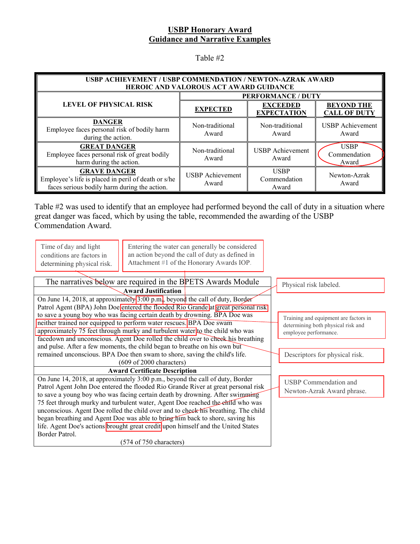Table #2

| <b>USBP ACHIEVEMENT / USBP COMMENDATION / NEWTON-AZRAK AWARD</b><br>HEROIC AND VALOROUS ACT AWARD GUIDANCE                 |                                  |                                       |                                          |
|----------------------------------------------------------------------------------------------------------------------------|----------------------------------|---------------------------------------|------------------------------------------|
|                                                                                                                            | <b>PERFORMANCE / DUTY</b>        |                                       |                                          |
| <b>LEVEL OF PHYSICAL RISK</b>                                                                                              | <b>EXPECTED</b>                  | <b>EXCEEDED</b><br><b>EXPECTATION</b> | <b>BEYOND THE</b><br><b>CALL OF DUTY</b> |
| <b>DANGER</b><br>Employee faces personal risk of bodily harm<br>during the action.                                         | Non-traditional<br>Award         | Non-traditional<br>Award              | <b>USBP</b> Achievement<br>Award         |
| <b>GREAT DANGER</b><br>Employee faces personal risk of great bodily<br>harm during the action.                             | Non-traditional<br>Award         | <b>USBP</b> Achievement<br>Award      | <b>USBP</b><br>Commendation<br>Award     |
| <b>GRAVE DANGER</b><br>Employee's life is placed in peril of death or s/he<br>faces serious bodily harm during the action. | <b>USBP</b> Achievement<br>Award | <b>USBP</b><br>Commendation<br>Award  | Newton-Azrak<br>Award                    |

Table #2 was used to identify that an employee had performed beyond the call of duty in a situation where great danger was faced, which by using the table, recommended the awarding of the USBP Commendation Award.

| Time of day and light<br>conditions are factors in<br>determining physical risk. | Entering the water can generally be considered<br>an action beyond the call of duty as defined in<br>Attachment #1 of the Honorary Awards IOP.                                                                                                                                                                                                                                                                                                                                                                                                                                                                                                                 |
|----------------------------------------------------------------------------------|----------------------------------------------------------------------------------------------------------------------------------------------------------------------------------------------------------------------------------------------------------------------------------------------------------------------------------------------------------------------------------------------------------------------------------------------------------------------------------------------------------------------------------------------------------------------------------------------------------------------------------------------------------------|
|                                                                                  | The narratives below are required in the BPETS Awards Module<br>Physical risk labeled.                                                                                                                                                                                                                                                                                                                                                                                                                                                                                                                                                                         |
|                                                                                  | <b>Award Justification</b>                                                                                                                                                                                                                                                                                                                                                                                                                                                                                                                                                                                                                                     |
|                                                                                  | On June 14, 2018, at approximately $3:00$ p.m., beyond the call of duty, Border<br>Patrol Agent (BPA) John Doe entered the flooded Rio Grande at great personal risk                                                                                                                                                                                                                                                                                                                                                                                                                                                                                           |
|                                                                                  | to save a young boy who was facing certain death by drowning. BPA Doe was<br>Training and equipment are factors in<br>neither trained nor equipped to perform water rescues. BPA Doe swam<br>determining both physical risk and<br>approximately 75 feet through murky and turbulent water to the child who was<br>employee performance.                                                                                                                                                                                                                                                                                                                       |
|                                                                                  | facedown and unconscious. Agent Doe rolled the child over to cheek his breathing<br>and pulse. After a few moments, the child began to breathe on his own but<br>remained unconscious. BPA Doe then swam to shore, saving the child's life.<br>Descriptors for physical risk.                                                                                                                                                                                                                                                                                                                                                                                  |
|                                                                                  | $(609$ of 2000 characters)<br><b>Award Certificate Description</b>                                                                                                                                                                                                                                                                                                                                                                                                                                                                                                                                                                                             |
| Border Patrol.                                                                   | On June 14, 2018, at approximately 3:00 p.m., beyond the call of duty, Border<br><b>USBP</b> Commendation and<br>Patrol Agent John Doe entered the flooded Rio Grande River at great personal risk<br>Newton-Azrak Award phrase.<br>to save a young boy who was facing certain death by drowning. After swimming<br>75 feet through murky and turbulent water, Agent Doe reached the ehild who was<br>unconscious. Agent Doe rolled the child over and to check his breathing. The child<br>began breathing and Agent Doe was able to bring him back to shore, saving his<br>life. Agent Doe's actions brought great credit upon himself and the United States |
|                                                                                  | $(574 \text{ of } 750 \text{ characters})$                                                                                                                                                                                                                                                                                                                                                                                                                                                                                                                                                                                                                     |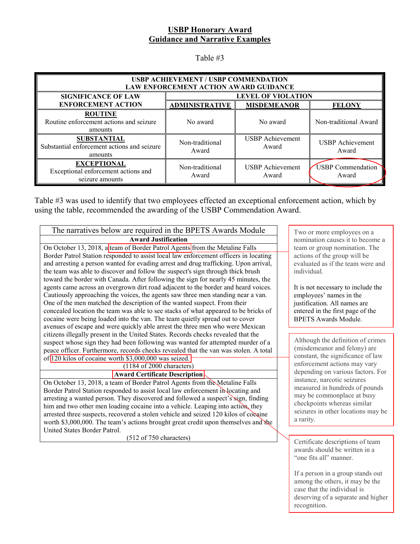Table #3

| USBP ACHIEVEMENT / USBP COMMENDATION<br>LAW ENFORCEMENT ACTION AWARD GUIDANCE |                           |                                  |                                   |  |
|-------------------------------------------------------------------------------|---------------------------|----------------------------------|-----------------------------------|--|
| <b>SIGNIFICANCE OF LAW</b>                                                    | <b>LEVEL OF VIOLATION</b> |                                  |                                   |  |
| <b>ENFORCEMENT ACTION</b>                                                     | <b>ADMINISTRATIVE</b>     | <b>MISDEMEANOR</b>               | <b>FELONY</b>                     |  |
| <b>ROUTINE</b><br>Routine enforcement actions and seizure<br>amounts          | No award                  | No award                         | Non-traditional Award             |  |
| <b>SUBSTANTIAL</b><br>Substantial enforcement actions and seizure<br>amounts  | Non-traditional<br>Award  | <b>USBP</b> Achievement<br>Award | <b>USBP</b> Achievement<br>Award  |  |
| <b>EXCEPTIONAL</b><br>Exceptional enforcement actions and<br>seizure amounts  | Non-traditional<br>Award  | <b>USBP</b> Achievement<br>Award | <b>USBP</b> Commendation<br>Award |  |

Table #3 was used to identify that two employees effected an exceptional enforcement action, which by using the table, recommended the awarding of the USBP Commendation Award.

| The narratives below are required in the BPETS Awards Module                         |  |  |  |
|--------------------------------------------------------------------------------------|--|--|--|
| <b>Award Justification</b>                                                           |  |  |  |
| On October 13, 2018, a team of Border Patrol Agents from the Metaline Falls          |  |  |  |
| Border Patrol Station responded to assist local law enforcement officers in locating |  |  |  |
| and arresting a person wanted for evading arrest and drug trafficking. Upon arrival, |  |  |  |
| the team was able to discover and follow the suspect's sign through thick brush      |  |  |  |
| toward the border with Canada. After following the sign for nearly 45 minutes, the   |  |  |  |
| agents came across an overgrown dirt road adjacent to the border and heard voices.   |  |  |  |
| Cautiously approaching the voices, the agents saw three men standing near a van.     |  |  |  |
| One of the men matched the description of the wanted suspect. From their             |  |  |  |
| concealed location the team was able to see stacks of what appeared to be bricks of  |  |  |  |
| cocaine were being loaded into the van. The team quietly spread out to cover         |  |  |  |
| avenues of escape and were quickly able arrest the three men who were Mexican        |  |  |  |
| citizens illegally present in the United States. Records checks revealed that the    |  |  |  |
| suspect whose sign they had been following was wanted for attempted murder of a      |  |  |  |
| peace officer. Furthermore, records checks revealed that the van was stolen. A total |  |  |  |
| of 120 kilos of cocaine worth \$3,000,000 was seized.                                |  |  |  |
| (1184 of 2000 characters)                                                            |  |  |  |
| <b>Award Certificate Description</b>                                                 |  |  |  |
| On October 13, 2018, a team of Border Patrol Agents from the Metaline Falls          |  |  |  |
| Border Patrol Station responded to assist local law enforcement in locating and      |  |  |  |
| arresting a wanted person. They discovered and followed a suspect's sign, finding    |  |  |  |
| him and two other men loading cocaine into a vehicle. Leaping into action, they      |  |  |  |
| arrested three suspects, recovered a stolen vehicle and seized 120 kilos of cocaine  |  |  |  |
| worth \$3,000,000. The team's actions brought great credit upon themselves and the   |  |  |  |

(512 of 750 characters)

United States Border Patrol.

Two or more employees on a nomination causes it to become a team or group nomination. The actions of the group will be evaluated as if the team were and individual.

It is not necessary to include the employees' names in the justification. All names are entered in the first page of the BPETS Awards Module.

Although the definition of crimes (misdemeanor and felony) are constant, the significance of law enforcement actions may vary depending on various factors. For instance, narcotic seizures measured in hundreds of pounds may be commonplace at busy checkpoints whereas similar seizures in other locations may be a rarity.

Certificate descriptions of team awards should be written in a "one fits all" manner.

If a person in a group stands out among the others, it may be the case that the individual is deserving of a separate and higher recognition.